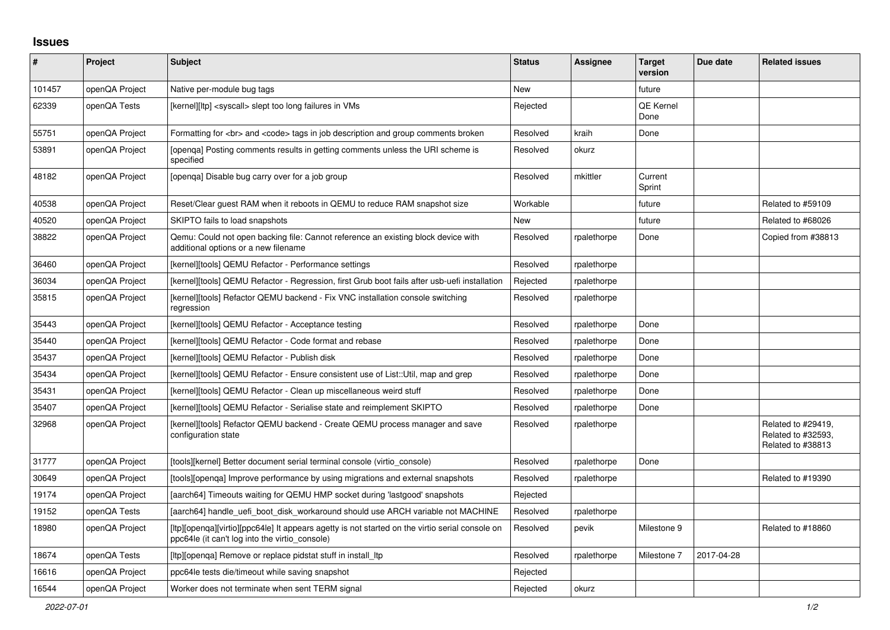## **Issues**

| #      | Project        | <b>Subject</b>                                                                                                                                    | <b>Status</b> | Assignee    | Target<br>version | Due date   | <b>Related issues</b>                                         |
|--------|----------------|---------------------------------------------------------------------------------------------------------------------------------------------------|---------------|-------------|-------------------|------------|---------------------------------------------------------------|
| 101457 | openQA Project | Native per-module bug tags                                                                                                                        | <b>New</b>    |             | future            |            |                                                               |
| 62339  | openQA Tests   | [kernel][ltp] <syscall> slept too long failures in VMs</syscall>                                                                                  | Rejected      |             | QE Kernel<br>Done |            |                                                               |
| 55751  | openQA Project | Formatting for<br>and <code> tags in job description and group comments broken</code>                                                             | Resolved      | kraih       | Done              |            |                                                               |
| 53891  | openQA Project | [openqa] Posting comments results in getting comments unless the URI scheme is<br>specified                                                       | Resolved      | okurz       |                   |            |                                                               |
| 48182  | openQA Project | [openga] Disable bug carry over for a job group                                                                                                   | Resolved      | mkittler    | Current<br>Sprint |            |                                                               |
| 40538  | openQA Project | Reset/Clear guest RAM when it reboots in QEMU to reduce RAM snapshot size                                                                         | Workable      |             | future            |            | Related to #59109                                             |
| 40520  | openQA Project | SKIPTO fails to load snapshots                                                                                                                    | <b>New</b>    |             | future            |            | Related to #68026                                             |
| 38822  | openQA Project | Qemu: Could not open backing file: Cannot reference an existing block device with<br>additional options or a new filename                         | Resolved      | rpalethorpe | Done              |            | Copied from #38813                                            |
| 36460  | openQA Project | [kernel][tools] QEMU Refactor - Performance settings                                                                                              | Resolved      | rpalethorpe |                   |            |                                                               |
| 36034  | openQA Project | [kernel][tools] QEMU Refactor - Regression, first Grub boot fails after usb-uefi installation                                                     | Rejected      | rpalethorpe |                   |            |                                                               |
| 35815  | openQA Project | [kernel][tools] Refactor QEMU backend - Fix VNC installation console switching<br>regression                                                      | Resolved      | rpalethorpe |                   |            |                                                               |
| 35443  | openQA Project | [kernel][tools] QEMU Refactor - Acceptance testing                                                                                                | Resolved      | rpalethorpe | Done              |            |                                                               |
| 35440  | openQA Project | [kernel][tools] QEMU Refactor - Code format and rebase                                                                                            | Resolved      | rpalethorpe | Done              |            |                                                               |
| 35437  | openQA Project | [kernel][tools] QEMU Refactor - Publish disk                                                                                                      | Resolved      | rpalethorpe | Done              |            |                                                               |
| 35434  | openQA Project | [kernel][tools] QEMU Refactor - Ensure consistent use of List::Util, map and grep                                                                 | Resolved      | rpalethorpe | Done              |            |                                                               |
| 35431  | openQA Project | [kernel][tools] QEMU Refactor - Clean up miscellaneous weird stuff                                                                                | Resolved      | rpalethorpe | Done              |            |                                                               |
| 35407  | openQA Project | [kernel][tools] QEMU Refactor - Serialise state and reimplement SKIPTO                                                                            | Resolved      | rpalethorpe | Done              |            |                                                               |
| 32968  | openQA Project | [kernel][tools] Refactor QEMU backend - Create QEMU process manager and save<br>configuration state                                               | Resolved      | rpalethorpe |                   |            | Related to #29419,<br>Related to #32593.<br>Related to #38813 |
| 31777  | openQA Project | [tools][kernel] Better document serial terminal console (virtio console)                                                                          | Resolved      | rpalethorpe | Done              |            |                                                               |
| 30649  | openQA Project | [tools][openga] Improve performance by using migrations and external snapshots                                                                    | Resolved      | rpalethorpe |                   |            | Related to #19390                                             |
| 19174  | openQA Project | [aarch64] Timeouts waiting for QEMU HMP socket during 'lastgood' snapshots                                                                        | Rejected      |             |                   |            |                                                               |
| 19152  | openQA Tests   | [aarch64] handle uefi boot disk workaround should use ARCH variable not MACHINE                                                                   | Resolved      | rpalethorpe |                   |            |                                                               |
| 18980  | openQA Project | [ltp][openqa][virtio][ppc64le] It appears agetty is not started on the virtio serial console on<br>ppc64le (it can't log into the virtio_console) | Resolved      | pevik       | Milestone 9       |            | Related to #18860                                             |
| 18674  | openQA Tests   | [Itp][openga] Remove or replace pidstat stuff in install Itp                                                                                      | Resolved      | rpalethorpe | Milestone 7       | 2017-04-28 |                                                               |
| 16616  | openQA Project | ppc64le tests die/timeout while saving snapshot                                                                                                   | Rejected      |             |                   |            |                                                               |
| 16544  | openQA Project | Worker does not terminate when sent TERM signal                                                                                                   | Rejected      | okurz       |                   |            |                                                               |